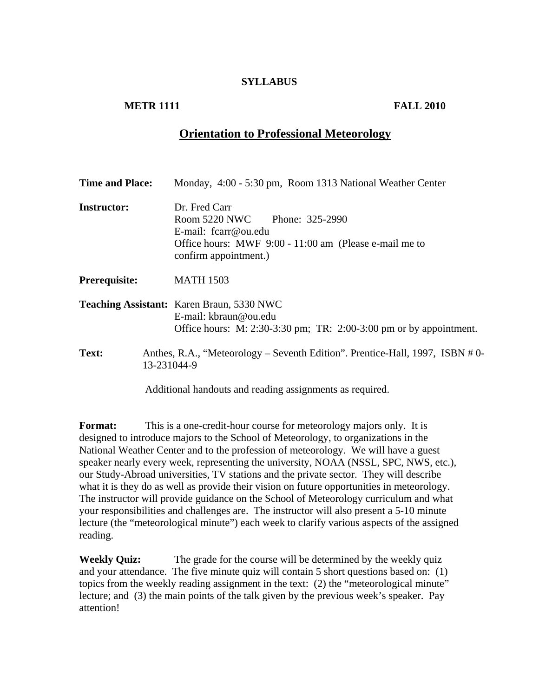## **SYLLABUS**

# **METR 1111** FALL 2010

# **Orientation to Professional Meteorology**

| <b>Time and Place:</b> | Monday, 4:00 - 5:30 pm, Room 1313 National Weather Center                                                                                                   |
|------------------------|-------------------------------------------------------------------------------------------------------------------------------------------------------------|
| <b>Instructor:</b>     | Dr. Fred Carr<br>Room 5220 NWC Phone: 325-2990<br>E-mail: $fcarr@ou.edu$<br>Office hours: MWF 9:00 - 11:00 am (Please e-mail me to<br>confirm appointment.) |
| Prerequisite:          | <b>MATH 1503</b>                                                                                                                                            |
|                        | <b>Teaching Assistant:</b> Karen Braun, 5330 NWC<br>E-mail: kbraun@ou.edu<br>Office hours: M: $2:30-3:30$ pm; TR: $2:00-3:00$ pm or by appointment.         |
| <b>Text:</b>           | Anthes, R.A., "Meteorology – Seventh Edition". Prentice-Hall, 1997, ISBN #0-<br>13-231044-9                                                                 |

Additional handouts and reading assignments as required.

**Format:** This is a one-credit-hour course for meteorology majors only. It is designed to introduce majors to the School of Meteorology, to organizations in the National Weather Center and to the profession of meteorology. We will have a guest speaker nearly every week, representing the university, NOAA (NSSL, SPC, NWS, etc.), our Study-Abroad universities, TV stations and the private sector. They will describe what it is they do as well as provide their vision on future opportunities in meteorology. The instructor will provide guidance on the School of Meteorology curriculum and what your responsibilities and challenges are. The instructor will also present a 5-10 minute lecture (the "meteorological minute") each week to clarify various aspects of the assigned reading.

**Weekly Quiz:** The grade for the course will be determined by the weekly quiz and your attendance. The five minute quiz will contain 5 short questions based on: (1) topics from the weekly reading assignment in the text: (2) the "meteorological minute" lecture; and (3) the main points of the talk given by the previous week's speaker. Pay attention!